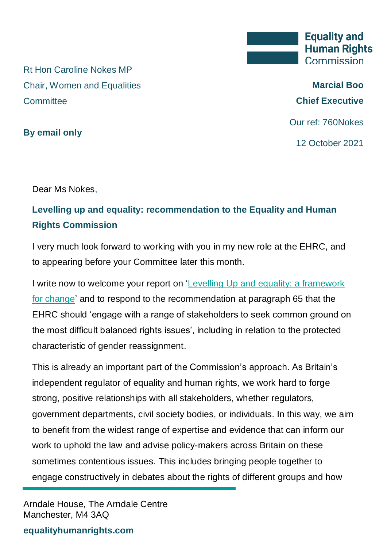Rt Hon Caroline Nokes MP Chair, Women and Equalities **Committee** 

**By email only**

**Marcial Boo Chief Executive**

Our ref: 760Nokes

12 October 2021

Dear Ms Nokes,

## **Levelling up and equality: recommendation to the Equality and Human Rights Commission**

I very much look forward to working with you in my new role at the EHRC, and to appearing before your Committee later this month.

I write now to welcome your report on ['Levelling Up and equality: a framework](https://committees.parliament.uk/publications/7440/documents/77798/default/)  [for change'](https://committees.parliament.uk/publications/7440/documents/77798/default/) and to respond to the recommendation at paragraph 65 that the EHRC should 'engage with a range of stakeholders to seek common ground on the most difficult balanced rights issues', including in relation to the protected characteristic of gender reassignment.

This is already an important part of the Commission's approach. As Britain's independent regulator of equality and human rights, we work hard to forge strong, positive relationships with all stakeholders, whether regulators, government departments, civil society bodies, or individuals. In this way, we aim to benefit from the widest range of expertise and evidence that can inform our work to uphold the law and advise policy-makers across Britain on these sometimes contentious issues. This includes bringing people together to engage constructively in debates about the rights of different groups and how

Arndale House, The Arndale Centre Manchester, M4 3AQ

**equalityhumanrights.com**